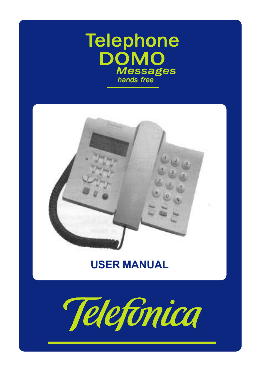# **Telephone** DOMO **Messages** hands free



# USER MANUAL

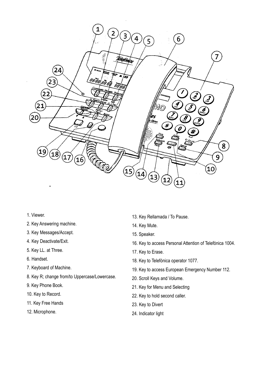

- 1. Viewer.
- 2. Key Answering machine.
- 3. Key Messages/Accept.
- 4. Key Deactivate/Exit.
- 5. Key LL. at Three.
- 6. Handset.
- 7. Keyboard of Machine.
- 8. Key R; change from/to Uppercase/Lowercase.
- 9. Key Phone Book.
- 10. Key to Record.
- 11. Key Free Hands
- 12. Microphone.
- 13. Key Rellamada / To Pause.
- 14. Key Mute.
- 15. Speaker.
- 16. Key to access Personal Attention of Telefónica 1004.
- 17. Key to Erase.
- 18. Key to Telefónica operator 1077.
- 19. Key to access European Emergency Number 112.
- 20. Scroll Keys and Volume.
- 21. Key for Menu and Selecting
- 22. Key to hold second caller.
- 23. Key to Divert
- 24. Indicator light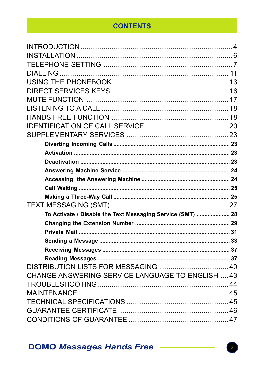## **CONTENTS**

| To Activate / Disable the Text Messaging Service (SMT)  28 |  |
|------------------------------------------------------------|--|
|                                                            |  |
|                                                            |  |
|                                                            |  |
|                                                            |  |
|                                                            |  |
|                                                            |  |
| CHANGE ANSWERING SERVICE LANGUAGE TO ENGLISH  43           |  |
|                                                            |  |
|                                                            |  |
|                                                            |  |
|                                                            |  |
|                                                            |  |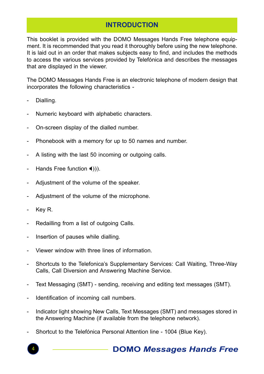## INTRODUCTION

This booklet is provided with the DOMO Messages Hands Free telephone equipment. It is recommended that you read it thoroughly before using the new telephone. It is laid out in an order that makes subjects easy to find, and includes the methods to access the various services provided by Telefónica and describes the messages that are displayed in the viewer.

The DOMO Messages Hands Free is an electronic telephone of modern design that incorporates the following characteristics -

- Dialling.
- Numeric keyboard with alphabetic characters.
- On-screen display of the dialled number.
- Phonebook with a memory for up to 50 names and number.
- A listing with the last 50 incoming or outgoing calls.
- Hands Free function  $\blacktriangleleft$ )).
- Adjustment of the volume of the speaker.
- Adjustment of the volume of the microphone.
- Key R.
- Redailling from a list of outgoing Calls.
- Insertion of pauses while dialling.
- Viewer window with three lines of information.
- Shortcuts to the Telefonica's Supplementary Services: Call Waiting, Three-Way Calls, Call Diversion and Answering Machine Service.
- Text Messaging (SMT) sending, receiving and editing text messages (SMT).
- Identification of incoming call numbers.
- Indicator light showing New Calls, Text Messages (SMT) and messages stored in the Answering Machine (if available from the telephone network).
- Shortcut to the Telefónica Personal Attention line 1004 (Blue Key).

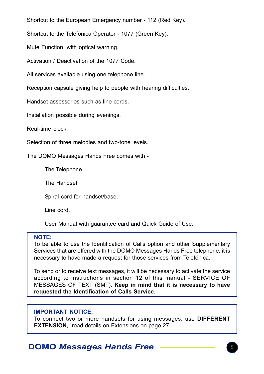Shortcut to the European Emergency number - 112 (Red Key).

Shortcut to the Telefónica Operator - 1077 (Green Key).

Mute Function, with optical warning.

Activation / Deactivation of the 1077 Code.

All services available using one telephone line.

Reception capsule giving help to people with hearing difficulties.

Handset assessories such as line cords.

Installation possible during evenings.

Real-time clock.

Selection of three melodies and two-tone levels.

The DOMO Messages Hands Free comes with -

The Telephone.

The Handset.

Spiral cord for handset/base.

Line cord.

User Manual with guarantee card and Quick Guide of Use.

#### NOTE:

To be able to use the Identification of Calls option and other Supplementary Services that are offered with the DOMO Messages Hands Free telephone, it is necessary to have made a request for those services from Telefónica.

To send or to receive text messages, it will be necessary to activate the service according to instructions in section 12 of this manual - SERVICE OF MESSAGES OF TEXT (SMT). Keep in mind that it is necessary to have requested the Identification of Calls Service.

#### IMPORTANT NOTICE:

To connect two or more handsets for using messages, use DIFFERENT EXTENSION, read details on Extensions on page 27.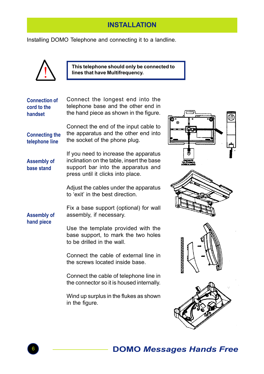## **INSTALLATION**

Installing DOMO Telephone and connecting it to a landline.



This telephone should only be connected to<br>lines that have Multifrequency.

| <b>Connection of</b><br>cord to the<br>handset | Connect the longest end into the<br>telephone base and the other end in<br>the hand piece as shown in the figure.                                             |                 |
|------------------------------------------------|---------------------------------------------------------------------------------------------------------------------------------------------------------------|-----------------|
| <b>Connecting the</b><br>telephone line        | Connect the end of the input cable to<br>the apparatus and the other end into<br>the socket of the phone plug.                                                |                 |
| <b>Assembly of</b><br>base stand               | If you need to increase the apparatus<br>inclination on the table, insert the base<br>support bar into the apparatus and<br>press until it clicks into place. |                 |
|                                                | Adjust the cables under the apparatus<br>to 'exit' in the best direction.                                                                                     |                 |
| <b>Assembly of</b>                             | Fix a base support (optional) for wall<br>assembly, if necessary.                                                                                             |                 |
| hand piece                                     | Use the template provided with the<br>base support, to mark the two holes<br>to be drilled in the wall.                                                       |                 |
|                                                | Connect the cable of external line in<br>the screws located inside base.                                                                                      | 777777777777777 |
|                                                | Connect the cable of telephone line in<br>the connector so it is housed internally.                                                                           |                 |
|                                                | Wind up surplus in the flukes as shown<br>in the figure.                                                                                                      |                 |







![](_page_5_Picture_8.jpeg)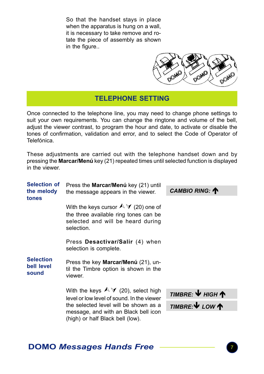So that the handset stays in place when the apparatus is hung on a wall, it is necessary to take remove and rotate the piece of assembly as shown in the figure..

![](_page_6_Picture_1.jpeg)

## TELEPHONE SETTING

Once connected to the telephone line, you may need to change phone settings to suit your own requirements. You can change the ringtone and volume of the bell, adjust the viewer contrast, to program the hour and date, to activate or disable the tones of confirmation, validation and error, and to select the Code of Operator of Telefónica.

These adjustments are carried out with the telephone handset down and by pressing the Marcar/Menú key (21) repeated times until selected function is displayed in the viewer.

| <b>Selection of</b><br>the melody<br>tones | Press the <b>Marcar/Menú</b> key (21) until<br>the message appears in the viewer.                                                          | CAMBIO RING: T                                               |
|--------------------------------------------|--------------------------------------------------------------------------------------------------------------------------------------------|--------------------------------------------------------------|
|                                            | With the keys cursor $\mathcal{N}$ (20) one of<br>the three available ring tones can be<br>selected and will be heard during<br>selection. |                                                              |
|                                            | Press Desactivar/Salir (4) when<br>selection is complete.                                                                                  |                                                              |
| <b>Selection</b><br>bell level<br>sound    | Press the key <b>Marcar/Menú</b> (21), un-<br>til the Timbre option is shown in the<br>viewer.                                             |                                                              |
|                                            | With the keys $\mathbb{A}\mathcal{V}$ (20), select high<br>level or low level of sound. In the viewer                                      | TIMBRE: $\Psi$ HIGH $\spadesuit$                             |
|                                            | the selected level will be shown as a<br>message, and with an Black bell icon<br>(high) or half Black bell (low).                          | <b>TIMBRE:</b> $\mathbf{\nabla}$ LOW $\mathbf{\hat{\wedge}}$ |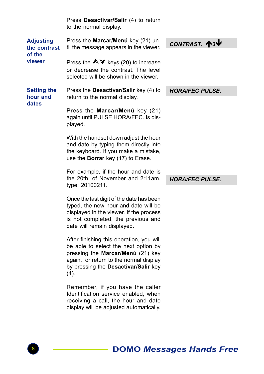|                                                      | Press Desactivar/Salir (4) to return<br>to the normal display.                                                                                                                                                  |                        |  |  |
|------------------------------------------------------|-----------------------------------------------------------------------------------------------------------------------------------------------------------------------------------------------------------------|------------------------|--|--|
| <b>Adjusting</b><br>the contrast<br>of the<br>viewer | Press the Marcar/Menú key (21) un-<br>til the message appears in the viewer.                                                                                                                                    | CONTRAST. 13           |  |  |
|                                                      | Press the $\triangle \blacktriangledown$ keys (20) to increase<br>or decrease the contrast. The level<br>selected will be shown in the viewer.                                                                  |                        |  |  |
| <b>Setting the</b><br>hour and                       | Press the <b>Desactivar/Salir</b> key (4) to<br>return to the normal display.                                                                                                                                   | <b>HORA/FEC PULSE.</b> |  |  |
| dates                                                | Press the Marcar/Menú key (21)<br>again until PULSE HORA/FEC. Is dis-<br>played.                                                                                                                                |                        |  |  |
|                                                      | With the handset down adjust the hour<br>and date by typing them directly into<br>the keyboard. If you make a mistake,<br>use the Borrar key (17) to Erase.                                                     |                        |  |  |
|                                                      | For example, if the hour and date is<br>the 20th, of November and 2:11am.<br>type: 20100211.                                                                                                                    | <b>HORA/FEC PULSE.</b> |  |  |
|                                                      | Once the last digit of the date has been<br>typed, the new hour and date will be<br>displayed in the viewer. If the process<br>is not completed, the previous and<br>date will remain displayed.                |                        |  |  |
|                                                      | After finishing this operation, you will<br>be able to select the next option by<br>pressing the Marcar/Menú (21) key<br>again, or return to the normal display<br>by pressing the Desactivar/Salir key<br>(4). |                        |  |  |
|                                                      | Remember, if you have the caller<br>Identification service enabled, when<br>receiving a call, the hour and date<br>display will be adjusted automatically.                                                      |                        |  |  |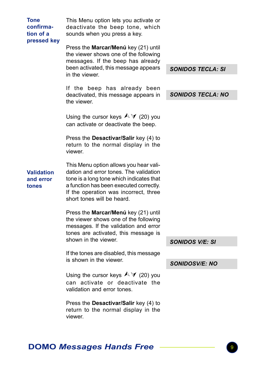| <b>Tone</b><br>confirma-<br>tion of a<br>pressed key | This Menu option lets you activate or<br>deactivate the beep tone, which<br>sounds when you press a key.<br>Press the Marcar/Menú key (21) until<br>the viewer shows one of the following<br>messages. If the beep has already                 |                          |  |  |
|------------------------------------------------------|------------------------------------------------------------------------------------------------------------------------------------------------------------------------------------------------------------------------------------------------|--------------------------|--|--|
|                                                      | been activated, this message appears<br>in the viewer.                                                                                                                                                                                         | <b>SONIDOS TECLA: SI</b> |  |  |
|                                                      | If the beep has already been<br>deactivated, this message appears in<br>the viewer.                                                                                                                                                            | <b>SONIDOS TECLA: NO</b> |  |  |
|                                                      | Using the cursor keys $\land \forall$ (20) you<br>can activate or deactivate the beep.                                                                                                                                                         |                          |  |  |
|                                                      | Press the Desactivar/Salir key (4) to<br>return to the normal display in the<br>viewer.                                                                                                                                                        |                          |  |  |
| <b>Validation</b><br>and error<br>tones              | This Menu option allows you hear vali-<br>dation and error tones. The validation<br>tone is a long tone which indicates that<br>a function has been executed correctly.<br>If the operation was incorrect, three<br>short tones will be heard. |                          |  |  |
|                                                      | Press the Marcar/Menú key (21) until<br>the viewer shows one of the following<br>messages. If the validation and error<br>tones are activated, this message is<br>shown in the viewer.                                                         |                          |  |  |
|                                                      | If the tones are disabled, this message                                                                                                                                                                                                        | <b>SONIDOS V/E: SI</b>   |  |  |
|                                                      | is shown in the viewer.                                                                                                                                                                                                                        | <b>SONIDOSV/E: NO</b>    |  |  |
|                                                      | Using the cursor keys $\land \forall$ (20) you<br>can activate or deactivate the<br>validation and error tones.                                                                                                                                |                          |  |  |
|                                                      | Press the Desactivar/Salir key (4) to<br>return to the normal display in the<br>viewer.                                                                                                                                                        |                          |  |  |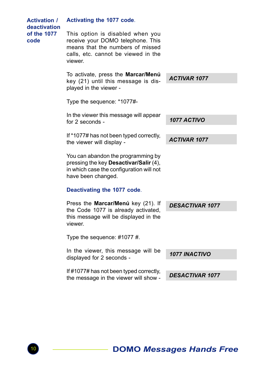| <b>Activation /</b><br>deactivation<br>of the 1077<br>code | Activating the 1077 code.                                                                                                                                   |                        |
|------------------------------------------------------------|-------------------------------------------------------------------------------------------------------------------------------------------------------------|------------------------|
|                                                            | This option is disabled when you<br>receive your DOMO telephone. This<br>means that the numbers of missed<br>calls, etc. cannot be viewed in the<br>viewer. |                        |
|                                                            | To activate, press the Marcar/Menú<br>key (21) until this message is dis-<br>played in the viewer -                                                         | <b>ACTIVAR 1077</b>    |
|                                                            | Type the sequence: *1077#-                                                                                                                                  |                        |
|                                                            |                                                                                                                                                             |                        |
|                                                            | In the viewer this message will appear<br>for 2 seconds -                                                                                                   | 1077 ACTIVO            |
|                                                            | If *1077# has not been typed correctly,<br>the viewer will display -                                                                                        | <b>ACTIVAR 1077</b>    |
|                                                            | You can abandon the programming by<br>pressing the key Desactivar/Salir (4),<br>in which case the configuration will not<br>have been changed.              |                        |
|                                                            | Deactivating the 1077 code.                                                                                                                                 |                        |
|                                                            | Press the Marcar/Menú key (21). If<br>the Code 1077 is already activated,<br>this message will be displayed in the<br>viewer.                               | <b>DESACTIVAR 1077</b> |
|                                                            | Type the sequence: $\#1077 \#$ .                                                                                                                            |                        |
|                                                            | In the viewer, this message will be<br>displayed for 2 seconds -                                                                                            | <b>1077 INACTIVO</b>   |
|                                                            | If #1077# has not been typed correctly,                                                                                                                     |                        |
|                                                            | the message in the viewer will show -                                                                                                                       | <b>DESACTIVAR 1077</b> |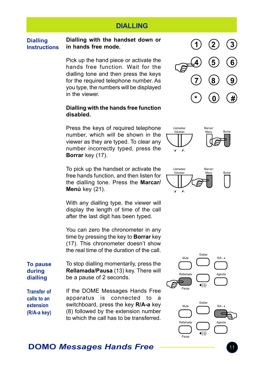## DIALLING

#### Dialling with the handset down or in hands free mode. **Dialling** Instructions

Pick up the hand piece or activate the hands free function. Wait for the dialling tone and then press the keys for the required telephone number. As you type, the numbers will be displayed in the viewer.

#### Dialling with the hands free function disabled.

Press the keys of required telephone number, which will be shown in the viewer as they are typed. To clear any number incorrectly typed, press the Borrar key (17).

To pick up the handset or activate the free hands function, and then listen for the dialling tone. Press the Marcar/ Menú key (21).

With any dialling type, the viewer will display the length of time of the call after the last digit has been typed.

You can zero the chronometer in any time by pressing the key to **Borrar** key (17). This chronometer doesn't show the real time of the duration of the call.

To stop dialling momentarily, press the Rellamada/Pausa (13) key. There will be a pause of 2 seconds. To pause during dialling

Transfer of calls to an extension (R/A-a key) If the DOME Messages Hands Free apparatus is connected to a switchboard, press the key R/A-a key (8) followed by the extension number to which the call has to be transferred.

![](_page_10_Figure_11.jpeg)

![](_page_10_Picture_12.jpeg)

![](_page_10_Figure_13.jpeg)

![](_page_10_Figure_14.jpeg)

![](_page_10_Figure_15.jpeg)

Pausa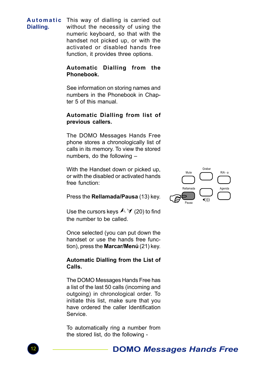**Automatic** This way of dialling is carried out without the necessity of using the numeric keyboard, so that with the handset not picked up, or with the activated or disabled hands free function, it provides three options. Dialling.

### Automatic Dialling from the Phonebook.

See information on storing names and numbers in the Phonebook in Chapter 5 of this manual.

### Automatic Dialling from list of previous callers.

The DOMO Messages Hands Free phone stores a chronologically list of calls in its memory. To view the stored numbers, do the following –

With the Handset down or picked up, or with the disabled or activated hands free function:

Press the Rellamada/Pausa (13) key.

![](_page_11_Picture_7.jpeg)

Use the cursors keys  $\mathbb{A}\mathbb{V}$  (20) to find the number to be called.

Once selected (you can put down the handset or use the hands free function), press the Marcar/Menú (21) key.

### Automatic Dialling from the List of Calls.

The DOMO Messages Hands Free has a list of the last 50 calls (incoming and outgoing) in chronological order. To initiate this list, make sure that you have ordered the caller Identification Service.

To automatically ring a number from the stored list, do the following -

![](_page_11_Picture_13.jpeg)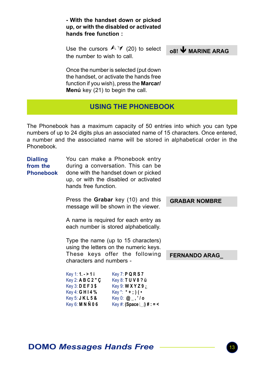- With the handset down or picked up, or with the disabled or activated hands free function :

Use the cursors  $\mathbb{A} \mathbb{V}$  (20) to select the number to wish to call.

 $0.8!$  WARINE ARAG

Once the number is selected (put down the handset, or activate the hands free function if you wish), press the **Marcar/** Menú key (21) to begin the call.

## USING THE PHONEBOOK

The Phonebook has a maximum capacity of 50 entries into which you can type numbers of up to 24 digits plus an associated name of 15 characters. Once entered, a number and the associated name will be stored in alphabetical order in the Phonebook.

| <b>Dialling</b><br>from the<br><b>Phonebook</b> | hands free function.                                                                                                         | You can make a Phonebook entry<br>during a conversation. This can be<br>done with the handset down or picked<br>up, or with the disabled or activated |                      |
|-------------------------------------------------|------------------------------------------------------------------------------------------------------------------------------|-------------------------------------------------------------------------------------------------------------------------------------------------------|----------------------|
|                                                 |                                                                                                                              | Press the <b>Grabar</b> key (10) and this<br>message will be shown in the viewer.                                                                     | <b>GRABAR NOMBRE</b> |
|                                                 |                                                                                                                              | A name is required for each entry as<br>each number is stored alphabetically.                                                                         |                      |
|                                                 |                                                                                                                              | Type the name (up to 15 characters)<br>using the letters on the numeric keys.                                                                         |                      |
|                                                 | characters and numbers -                                                                                                     | These keys offer the following                                                                                                                        | <b>FERNANDO ARAG</b> |
|                                                 | Key 1: 1. > 1i<br>Key 2: $ABC2"C$<br>$Key 3:$ $DE F 3$ $$$<br>Key 4: <b>GHI4</b> %<br>Key 5: $J$ K L 5 &<br>Key 6: M N N 0 6 | Key 7: PQR S 7<br>Key 8: TUV8?ü<br>Key 9: $W$ X Y Z 9 $\lambda$<br>$Key^*$ : $*$ + ; ) ( •<br>Key 0: $@_{-}$ ,'/o<br>$Key #: (Space \cup ) # :=$      |                      |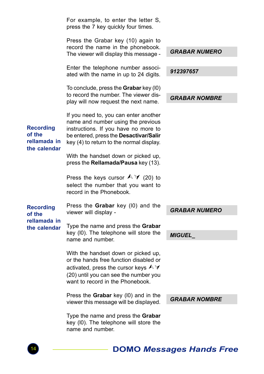|                                                            | For example, to enter the letter S,<br>press the 7 key quickly four times.                                                                                                                                  |                      |
|------------------------------------------------------------|-------------------------------------------------------------------------------------------------------------------------------------------------------------------------------------------------------------|----------------------|
|                                                            | Press the Grabar key (10) again to<br>record the name in the phonebook.<br>The viewer will display this message -                                                                                           | <b>GRABAR NUMERO</b> |
|                                                            | Enter the telephone number associ-<br>ated with the name in up to 24 digits.                                                                                                                                | 912397657            |
|                                                            | To conclude, press the <b>Grabar</b> key (10)<br>to record the number. The viewer dis-<br>play will now request the next name.                                                                              | GRABAR NOMBRE        |
| <b>Recording</b><br>of the<br>rellamada in<br>the calendar | If you need to, you can enter another<br>name and number using the previous<br>instructions. If you have no more to<br>be entered, press the Desactivar/Salir<br>key (4) to return to the normal display.   |                      |
|                                                            | With the handset down or picked up,<br>press the <b>Rellamada/Pausa</b> key (13).                                                                                                                           |                      |
|                                                            | Press the keys cursor $\land \lor$ (20) to<br>select the number that you want to<br>record in the Phonebook.                                                                                                |                      |
| <b>Recording</b><br>of the<br>rellamada in<br>the calendar | Press the Grabar key (I0) and the<br>viewer will display -                                                                                                                                                  | <b>GRABAR NUMERO</b> |
|                                                            | Type the name and press the <b>Grabar</b><br>key (I0). The telephone will store the<br>name and number.                                                                                                     | <b>MIGUEL</b>        |
|                                                            | With the handset down or picked up,<br>or the hands free function disabled or<br>activated, press the cursor keys $\land \lor$<br>(20) until you can see the number you<br>want to record in the Phonebook. |                      |
|                                                            | Press the Grabar key (I0) and in the<br>viewer this message will be displayed.                                                                                                                              | <b>GRABAR NOMBRE</b> |
|                                                            | Type the name and press the Grabar<br>key (I0). The telephone will store the<br>name and number.                                                                                                            |                      |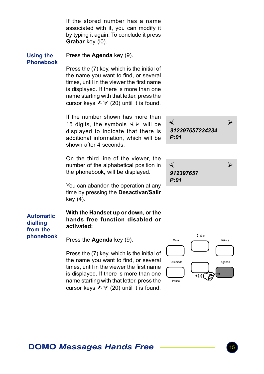If the stored number has a name associated with it, you can modify it by typing it again. To conclude it press Grabar key (I0).

#### Using the Phonebook

phonebook

Press the Agenda key (9).

Press the (7) key, which is the initial of the name you want to find, or several times, until in the viewer the first name is displayed. If there is more than one name starting with that letter, press the cursor keys  $\land$   $\lor$  (20) until it is found.

If the number shown has more than 15 digits, the symbols  $\leq$  will be displayed to indicate that there is additional information, which will be shown after 4 seconds.

On the third line of the viewer, the number of the alphabetical position in the phonebook, will be displayed.

You can abandon the operation at any time by pressing the Desactivar/Salir key (4).

With the Handset up or down, or the hands free function disabled or activated: Automatic dialling from the

Press the Agenda key (9).

Press the (7) key, which is the initial of the name you want to find, or several times, until in the viewer the first name is displayed. If there is more than one name starting with that letter, press the cursor keys  $\land \lor$  (20) until it is found.

× Ø 912397657234234 P:01

![](_page_14_Picture_11.jpeg)

![](_page_14_Figure_12.jpeg)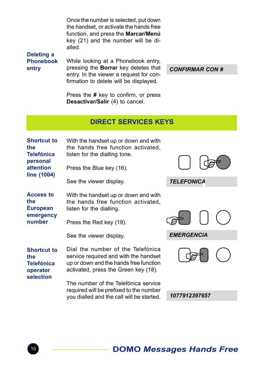Once the number is selected, put down the handset, or activate the hands free function, and press the Marcar/Menú key (21) and the number will be dialled.

Deleting a Phonebook entry

While looking at a Phonebook entry, pressing the Borrar key deletes that entry. In the viewer a request for confirmation to delete will be displayed.

CONFIRMAR CON #

Press the # key to confirm, or press Desactivar/Salir (4) to cancel.

## DIRECT SERVICES KEYS

| <b>Shortcut to</b><br>the<br><b>Telefónica</b><br>personal<br>attention<br>line (1004) | With the handset up or down and with<br>the hands free function activated,<br>listen for the dialling tone.<br>Press the Blue key (16).                      |                   |
|----------------------------------------------------------------------------------------|--------------------------------------------------------------------------------------------------------------------------------------------------------------|-------------------|
|                                                                                        | See the viewer display.                                                                                                                                      | <b>TELEFONICA</b> |
| <b>Access to</b><br>the<br><b>European</b>                                             | With the handset up or down and with<br>the hands free function activated,<br>listen for the dialling.                                                       |                   |
| emergency<br>number                                                                    | Press the Red key (19).                                                                                                                                      |                   |
|                                                                                        | See the viewer display.                                                                                                                                      | <b>EMERGENCIA</b> |
| <b>Shortcut to</b><br>the<br><b>Telefónica</b><br>operator                             | Dial the number of the Telefónica<br>service required and with the handset<br>up or down and the hands free function<br>activated, press the Green key (18). |                   |
| selection                                                                              | The number of the Telefónica service<br>required will be prefixed to the number                                                                              |                   |
|                                                                                        | you dialled and the call will be started.                                                                                                                    | 1077912397657     |
|                                                                                        |                                                                                                                                                              |                   |

![](_page_15_Picture_8.jpeg)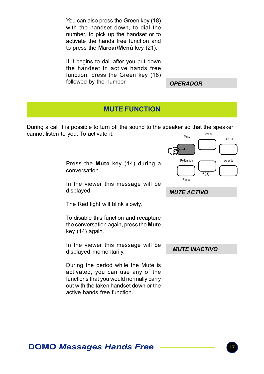You can also press the Green key (18) with the handset down, to dial the number, to pick up the handset or to activate the hands free function and to press the Marcar/Menú key (21).

If it begins to dail after you put down the handset in active hands free function, press the Green key (18) followed by the number.

**OPERADOR** 

## MUTE FUNCTION

During a call it is possible to turn off the sound to the speaker so that the speaker cannot listen to you. To activate it: Grabar

> Press the Mute key (14) during a conversation.

> In the viewer this message will be displayed.

The Red light will blink slowly.

To disable this function and recapture the conversation again, press the Mute key (14) again.

In the viewer this message will be displayed momentarily.

During the period while the Mute is activated, you can use any of the functions that you would normally carry out with the taken handset down or the active hands free function.

![](_page_16_Figure_11.jpeg)

MUTE INACTIVO

MUTE ACTIVO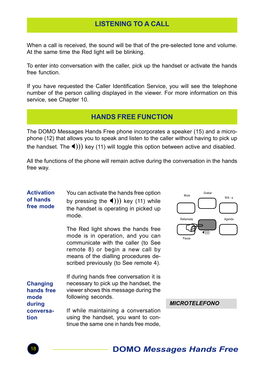## LISTENING TO A CALL

When a call is received, the sound will be that of the pre-selected tone and volume. At the same time the Red light will be blinking.

To enter into conversation with the caller, pick up the handset or activate the hands free function.

If you have requested the Caller Identification Service, you will see the telephone number of the person calling displayed in the viewer. For more information on this service, see Chapter 10.

## HANDS FREE FUNCTION

The DOMO Messages Hands Free phone incorporates a speaker (15) and a microphone (12) that allows you to speak and listen to the caller without having to pick up the handset. The  $\blacktriangleleft$ ))) key (11) will toggle this option between active and disabled.

All the functions of the phone will remain active during the conversation in the hands free way.

You can activate the hands free option by pressing the  $\blacktriangleleft$ ))) key (11) while the handset is operating in picked up mode. **Activation** of hands free mode

> The Red light shows the hands free mode is in operation, and you can communicate with the caller (to See remote 8) or begin a new call by means of the dialling procedures described previously (to See remote 4).

> tinue the same one in hands free mode,

If during hands free conversation it is necessary to pick up the handset, the viewer shows this message during the following seconds. If while maintaining a conversation using the handset, you want to con-**Changing** hands free mode during conversation

llamada<br>**Fransa** Grabar  $P/A$  -Mute Rellamada **Agenda** Agenda Pausa X)))

**MICROTEL FEONO** 

![](_page_17_Picture_13.jpeg)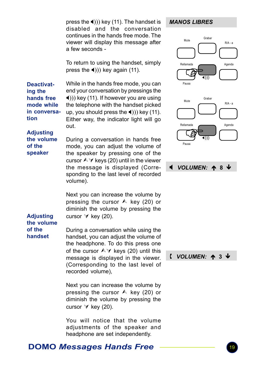press the  $\triangleleft$ ))) key (11). The handset is disabled and the conversation continues in the hands free mode. The viewer will display this message after a few seconds -

To return to using the handset, simply press the  $\blacktriangleleft$ ))) key again (11).

Deactivating the hands free mode while in conversation

While in the hands free mode, you can end your conversation by pressings the  $\blacktriangleleft$ ))) key (11). If however you are using the telephone with the handset picked up, you should press the  $\triangleleft$ ))) key (11). Either way, the indicator light will go out.

### **Adjusting** the volume of the speaker

During a conversation in hands free mode, you can adjust the volume of the speaker by pressing one of the cursor  $\triangle \forall$  keys (20) until in the viewer the message is displayed (Corresponding to the last level of recorded volume).

Next you can increase the volume by pressing the cursor  $\land$  key (20) or diminish the volume by pressing the cursor  $\forall$  key (20).

#### **Adjusting** the volume of the handset

During a conversation while using the handset, you can adjust the volume of the headphone. To do this press one of the cursor  $\land \lor$  keys (20) until this message is displayed in the viewer. (Corresponding to the last level of recorded volume),

Next you can increase the volume by pressing the cursor  $\land$  key (20) or diminish the volume by pressing the cursor  $\forall$  key (20).

You will notice that the volume adjustments of the speaker and headphone are set independently.

### MANOS LIBRES

![](_page_18_Figure_12.jpeg)

![](_page_18_Figure_13.jpeg)

### $\sqrt{(VOLUMEN: A 3)}$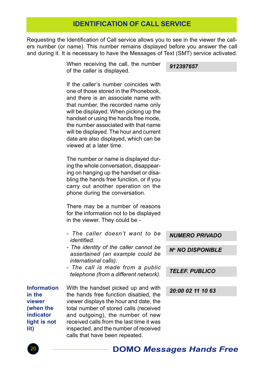## IDENTIFICATION OF CALL SERVICE

Requesting the Identification of Call service allows you to see in the viewer the callers number (or name). This number remains displayed before you answer the call and during it. It is necessary to have the Messages of Text (SMT) service activated.

> When receiving the call, the number of the caller is displayed.

912397657

If the caller's number coincides with one of those stored in the Phonebook, and there is an associate name with that number, the recorded name only will be displayed. When picking up the handset or using the hands free mode, the number associated with that name will be displayed. The hour and current date are also displayed, which can be viewed at a later time.

The number or name is displayed during the whole conversation, disappearing on hanging up the handset or disabling the hands free function, or if you carry out another operation on the phone during the conversation.

There may be a number of reasons for the information not to be displayed in the viewer. They could be -

- The caller doesn't want to be identified.
- The identity of the caller cannot be assertained (an example could be international calls).
- The call is made from a public telephone (from a different network).

Information in the viewer (when the indicator light is not lit)

With the handset picked up and with the hands free function disabled, the viewer displays the hour and date, the total number of stored calls (received and outgoing), the number of new received calls from the last time it was inspected, and the number of received calls that have been repeated.

 NUMERO PRIVADO N<sup>o</sup> NO DISPONIBLE

TELEF. PUBLICO

20:00 02 11 10 63

![](_page_19_Picture_15.jpeg)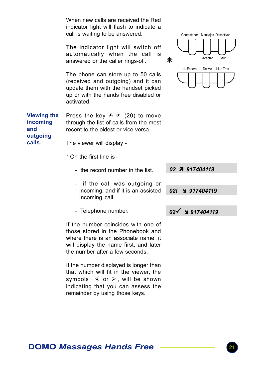|                                                   | When new calls are received the Red<br>indicator light will flash to indicate a<br>call is waiting to be answered.                                                     |   | Contestador Mensajes Desactivar  |
|---------------------------------------------------|------------------------------------------------------------------------------------------------------------------------------------------------------------------------|---|----------------------------------|
|                                                   | The indicator light will switch off<br>automatically when the call is<br>answered or the caller rings-off.                                                             | ⋇ | Salir<br>Aceptar                 |
|                                                   | The phone can store up to 50 calls<br>(received and outgoing) and it can<br>update them with the handset picked<br>up or with the hands free disabled or<br>activated. |   | LL.Espera<br>Desvio<br>LL.a Tres |
| <b>Viewing the</b><br>incoming<br>and<br>outgoing | Press the key $\land$ $\lor$ (20) to move<br>through the list of calls from the most<br>recent to the oldest or vice versa.                                            |   |                                  |
| calls.                                            | The viewer will display -                                                                                                                                              |   |                                  |
|                                                   | * On the first line is -                                                                                                                                               |   |                                  |
|                                                   |                                                                                                                                                                        |   |                                  |

- the record number in the list.
- if the call was outgoing or incoming, and if it is an assisted incoming call.
- Telephone number.

If the number coincides with one of those stored in the Phonebook and where there is an associate name, it will display the name first, and later the number after a few seconds.

If the number displayed is longer than that which will fit in the viewer, the symbols  $\leq$  or  $\geq$ , will be shown indicating that you can assess the remainder by using those keys.

![](_page_20_Figure_6.jpeg)

```
02! 917404119
```
 $02\sqrt{917404119}$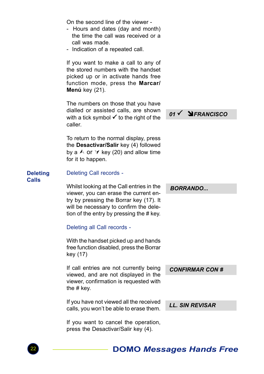On the second line of the viewer -

- Hours and dates (day and month) the time the call was received or a call was made.
- Indication of a repeated call.

If you want to make a call to any of the stored numbers with the handset picked up or in activate hands free function mode, press the Marcar/ Menú key (21).

The numbers on those that you have dialled or assisted calls, are shown with a tick symbol  $\checkmark$  to the right of the caller.

To return to the normal display, press the Desactivar/Salir key (4) followed by a  $\wedge$  or  $\vee$  key (20) and allow time for it to happen.

### **Deleting** Calls

Deleting Call records -

Whilst looking at the Call entries in the viewer, you can erase the current entry by pressing the Borrar key (17). It will be necessary to confirm the deletion of the entry by pressing the # key.

### Deleting all Call records -

With the handset picked up and hands free function disabled, press the Borrar key (17)

If call entries are not currently being viewed, and are not displayed in the viewer, confirmation is requested with the # key.

If you have not viewed all the received calls, you won't be able to erase them.

If you want to cancel the operation, press the Desactivar/Salir key (4).

 $01 \checkmark$  **N** FRANCISCO

**BORRANDO** 

LL. SIN REVISAR

CONFIRMAR CON #

![](_page_21_Picture_19.jpeg)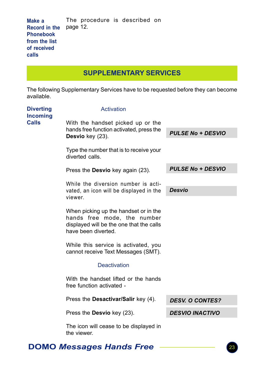| Make a                        |  | The procedure is described on |  |
|-------------------------------|--|-------------------------------|--|
| <b>Record in the</b> page 12. |  |                               |  |
| Phonebook                     |  |                               |  |
| from the list                 |  |                               |  |
| of received                   |  |                               |  |
| calls                         |  |                               |  |

SUPPLEMENTARY SERVICES

The following Supplementary Services have to be requested before they can become available.

| <b>Diverting</b><br><b>Incoming</b> | Activation                                                                                                                              |                          |
|-------------------------------------|-----------------------------------------------------------------------------------------------------------------------------------------|--------------------------|
| <b>Calls</b>                        | With the handset picked up or the                                                                                                       |                          |
|                                     | hands free function activated, press the<br>Desvio key (23).                                                                            | <b>PULSE No + DESVIO</b> |
|                                     | Type the number that is to receive your<br>diverted calls.                                                                              |                          |
|                                     | Press the <b>Desvio</b> key again (23).                                                                                                 | <b>PULSE No + DESVIO</b> |
|                                     | While the diversion number is acti-                                                                                                     |                          |
|                                     | vated, an icon will be displayed in the<br>viewer.                                                                                      | <b>Desvio</b>            |
|                                     |                                                                                                                                         |                          |
|                                     | When picking up the handset or in the<br>hands free mode, the number<br>displayed will be the one that the calls<br>have been diverted. |                          |
|                                     | While this service is activated, you<br>cannot receive Text Messages (SMT).                                                             |                          |
|                                     | <b>Deactivation</b>                                                                                                                     |                          |
|                                     | With the handset lifted or the hands<br>free function activated -                                                                       |                          |
|                                     | Press the <b>Desactivar/Salir</b> key (4).                                                                                              | <b>DESV. O CONTES?</b>   |
|                                     | Press the Desvio key (23).                                                                                                              | <b>DESVIO INACTIVO</b>   |
|                                     | The icon will cease to be displayed in<br>the viewer.                                                                                   |                          |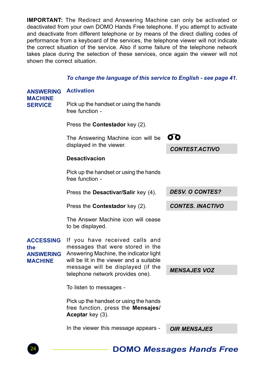IMPORTANT: The Redirect and Answering Machine can only be activated or deactivated from your own DOMO Hands Free telephone. If you attempt to activate and deactivate from different telephone or by means of the direct dialling codes of performance from a keyboard of the services, the telephone viewer will not indicate the correct situation of the service. Also if some failure of the telephone network takes place during the selection of these services, once again the viewer will not shown the correct situation.

#### To change the language of this service to English - see page 41.

| <b>ANSWERING</b><br><b>MACHINE</b><br><b>SERVICE</b>          | <b>Activation</b>                                                                                                                                        |                         |
|---------------------------------------------------------------|----------------------------------------------------------------------------------------------------------------------------------------------------------|-------------------------|
|                                                               | Pick up the handset or using the hands<br>free function -                                                                                                |                         |
|                                                               | Press the <b>Contestador</b> key (2).                                                                                                                    |                         |
|                                                               | The Answering Machine icon will be                                                                                                                       | 60                      |
|                                                               | displayed in the viewer.                                                                                                                                 | <b>CONTEST.ACTIVO</b>   |
|                                                               | <b>Desactivacion</b>                                                                                                                                     |                         |
|                                                               | Pick up the handset or using the hands<br>free function -                                                                                                |                         |
|                                                               | Press the <b>Desactivar/Salir</b> key (4).                                                                                                               | <b>DESV. O CONTES?</b>  |
|                                                               | Press the <b>Contestador</b> key (2).                                                                                                                    | <b>CONTES. INACTIVO</b> |
|                                                               | The Answer Machine icon will cease<br>to be displayed.                                                                                                   |                         |
| <b>ACCESSING</b><br>the<br><b>ANSWERING</b><br><b>MACHINE</b> | If you have received calls and<br>messages that were stored in the<br>Answering Machine, the indicator light<br>will be lit in the viewer and a suitable |                         |
|                                                               | message will be displayed (if the<br>telephone network provides one).                                                                                    | <b>MENSAJES VOZ</b>     |
|                                                               | To listen to messages -                                                                                                                                  |                         |
|                                                               | Pick up the handset or using the hands<br>free function, press the <b>Mensajes/</b><br>Aceptar key (3).                                                  |                         |
|                                                               | In the viewer this message appears -                                                                                                                     | <b>OIR MENSAJES</b>     |
|                                                               |                                                                                                                                                          |                         |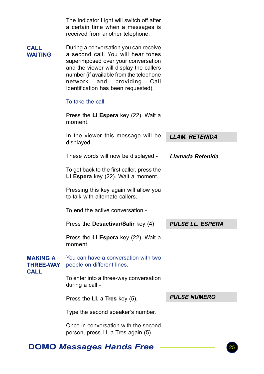|                                                    | The Indicator Light will switch off after<br>a certain time when a messages is<br>received from another telephone.                                                                                                                                                                     |                         |
|----------------------------------------------------|----------------------------------------------------------------------------------------------------------------------------------------------------------------------------------------------------------------------------------------------------------------------------------------|-------------------------|
| CALL<br><b>WAITING</b>                             | During a conversation you can receive<br>a second call. You will hear tones<br>superimposed over your conversation<br>and the viewer will display the callers<br>number (if available from the telephone<br>network<br>and<br>providing<br>Call<br>Identification has been requested). |                         |
|                                                    | To take the call $-$                                                                                                                                                                                                                                                                   |                         |
|                                                    | Press the LI Espera key (22). Wait a<br>moment.                                                                                                                                                                                                                                        |                         |
|                                                    | In the viewer this message will be<br>displayed,                                                                                                                                                                                                                                       | <b>LLAM. RETENIDA</b>   |
|                                                    | These words will now be displayed -                                                                                                                                                                                                                                                    | Llamada Retenida        |
|                                                    | To get back to the first caller, press the<br>LI Espera key (22). Wait a moment.                                                                                                                                                                                                       |                         |
|                                                    | Pressing this key again will allow you<br>to talk with alternate callers.                                                                                                                                                                                                              |                         |
|                                                    | To end the active conversation -                                                                                                                                                                                                                                                       |                         |
|                                                    | Press the Desactivar/Salir key (4)                                                                                                                                                                                                                                                     | <b>PULSE LL. ESPERA</b> |
|                                                    | Press the LI Espera key (22). Wait a<br>moment.                                                                                                                                                                                                                                        |                         |
| <b>MAKING A</b><br><b>THREE-WAY</b><br><b>CALL</b> | You can have a conversation with two<br>people on different lines.                                                                                                                                                                                                                     |                         |
|                                                    | To enter into a three-way conversation<br>during a call -                                                                                                                                                                                                                              |                         |
|                                                    | Press the LI. a Tres key (5).                                                                                                                                                                                                                                                          | <b>PULSE NUMERO</b>     |
|                                                    | Type the second speaker's number.                                                                                                                                                                                                                                                      |                         |
|                                                    | Once in conversation with the second<br>person, press LI. a Tres again (5).                                                                                                                                                                                                            |                         |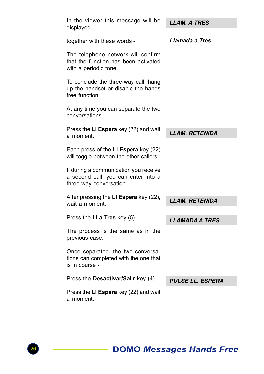| In the viewer this message will be<br>displayed -                                                        | <b>LLAM. A TRES</b>     |
|----------------------------------------------------------------------------------------------------------|-------------------------|
| together with these words -                                                                              | Llamada a Tres          |
| The telephone network will confirm<br>that the function has been activated<br>with a periodic tone.      |                         |
| To conclude the three-way call, hang<br>up the handset or disable the hands<br>free function.            |                         |
| At any time you can separate the two<br>conversations -                                                  |                         |
| Press the LI Espera key (22) and wait<br>a moment.                                                       | <b>LLAM. RETENIDA</b>   |
| Each press of the LI Espera key (22)<br>will toggle between the other callers.                           |                         |
| If during a communication you receive<br>a second call, you can enter into a<br>three-way conversation - |                         |
| After pressing the LI Espera key (22),<br>wait a moment.                                                 | <b>LLAM. RETENIDA</b>   |
| Press the LI a Tres key (5).                                                                             | <b>LLAMADA A TRES</b>   |
| The process is the same as in the<br>previous case.                                                      |                         |
| Once separated, the two conversa-<br>tions can completed with the one that<br>is in course -             |                         |
| Press the Desactivar/Salir key (4).                                                                      | <b>PULSE LL. ESPERA</b> |
| Press the LI Espera key (22) and wait<br>a moment.                                                       |                         |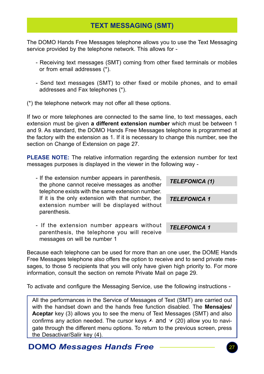## TEXT MESSAGING (SMT)

The DOMO Hands Free Messages telephone allows you to use the Text Messaging service provided by the telephone network. This allows for -

- Receiving text messages (SMT) coming from other fixed terminals or mobiles or from email addresses (\*).
- Send text messages (SMT) to other fixed or mobile phones, and to email addresses and Fax telephones (\*).

(\*) the telephone network may not offer all these options.

If two or more telephones are connected to the same line, to text messages, each extension must be given a different extension number which must be between 1 and 9. As standard, the DOMO Hands Free Messages telephone is programmed at the factory with the extension as 1. If it is necessary to change this number, see the section on Change of Extension on page 27.

PLEASE NOTE: The relative information regarding the extension number for text messages purposes is displayed in the viewer in the following way -

- If the extension number appears in parenthesis, the phone cannot receive messages as another telephone exists with the same extension number. If it is the only extension with that number, the extension number will be displayed without parenthesis. TELEFONICA (1) TELEFONICA 1
	- If the extension number appears without parenthesis, the telephone you will receive messages on will be number 1 TELEFONICA 1

Because each telephone can be used for more than an one user, the DOME Hands Free Messages telephone also offers the option to receive and to send private messages, to those 5 recipients that you will only have given high priority to. For more information, consult the section on remote Private Mail on page 29.

To activate and configure the Messaging Service, use the following instructions -

All the performances in the Service of Messages of Text (SMT) are carried out with the handset down and the hands free function disabled. The **Mensaies/** Aceptar key (3) allows you to see the menu of Text Messages (SMT) and also confirms any action needed. The cursor keys  $\land$  and  $\lor$  (20) allow you to navigate through the different menu options. To return to the previous screen, press the Desactivar/Salir key (4).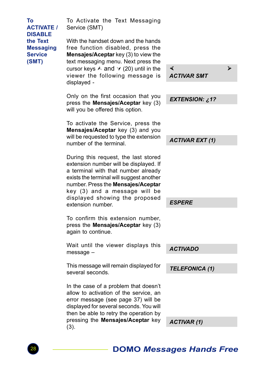To Activate the Text Messaging Service (SMT) With the handset down and the hands free function disabled, press the Mensajes/Aceptar key (3) to view the text messaging menu. Next press the cursor keys  $\land$  and  $\lor$  (20) until in the viewer the following message is displayed - Only on the first occasion that you press the Mensajes/Aceptar key (3) will you be offered this option. To activate the Service, press the Mensajes/Aceptar key (3) and you will be requested to type the extension number of the terminal. During this request, the last stored extension number will be displayed. If a terminal with that number already exists the terminal will suggest another number. Press the Mensajes/Aceptar key (3) and a message will be displayed showing the proposed extension number. To confirm this extension number, press the Mensajes/Aceptar key (3) again to continue. Wait until the viewer displays this message – This message will remain displayed for several seconds. In the case of a problem that doesn't allow to activation of the service, an error message (see page 37) will be displayed for several seconds. You will then be able to retry the operation by pressing the Mensajes/Aceptar key (3). To ACTIVATE / DISABLE the Text **Messaging Service** (SMT) × Ø ACTIVAR SMT EXTENSION: ¿1? ACTIVAR EXT (1) **ESPERE**  ACTIVADO TELEFONICA (1) ACTIVAR (1)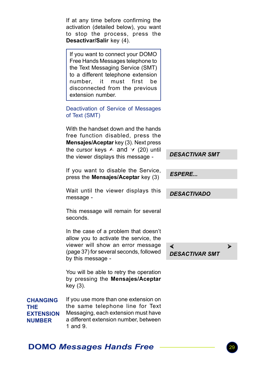|                                                             | If at any time before confirming the<br>activation (detailed below), you want<br>to stop the process, press the<br>Desactivar/Salir key (4).                                                                                                  |                            |   |
|-------------------------------------------------------------|-----------------------------------------------------------------------------------------------------------------------------------------------------------------------------------------------------------------------------------------------|----------------------------|---|
|                                                             | If you want to connect your DOMO<br>Free Hands Messages telephone to<br>the Text Messaging Service (SMT)<br>to a different telephone extension<br>number,<br>must<br>first<br>it<br>be<br>disconnected from the previous<br>extension number. |                            |   |
|                                                             | Deactivation of Service of Messages<br>of Text (SMT)                                                                                                                                                                                          |                            |   |
|                                                             | With the handset down and the hands<br>free function disabled, press the<br>Mensajes/Aceptar key (3). Next press<br>the cursor keys $\land$ and $\lor$ (20) until                                                                             |                            |   |
|                                                             | the viewer displays this message -                                                                                                                                                                                                            | <b>DESACTIVAR SMT</b>      |   |
|                                                             | If you want to disable the Service,<br>press the <b>Mensajes/Aceptar</b> key (3)                                                                                                                                                              | <b>ESPERE</b>              |   |
|                                                             | Wait until the viewer displays this<br>message -                                                                                                                                                                                              | <b>DESACTIVADO</b>         |   |
|                                                             | This message will remain for several<br>seconds.                                                                                                                                                                                              |                            |   |
|                                                             | In the case of a problem that doesn't<br>allow you to activate the service, the                                                                                                                                                               |                            |   |
|                                                             | viewer will show an error message<br>(page 37) for several seconds, followed<br>by this message -                                                                                                                                             | ∢<br><b>DESACTIVAR SMT</b> | ⋗ |
|                                                             | You will be able to retry the operation<br>by pressing the Mensajes/Aceptar<br>key (3).                                                                                                                                                       |                            |   |
| <b>CHANGING</b><br>THE<br><b>EXTENSION</b><br><b>NUMBER</b> | If you use more than one extension on<br>the same telephone line for Text<br>Messaging, each extension must have<br>a different extension number, between                                                                                     |                            |   |

## DOMO Messages Hands Free

1 and 9.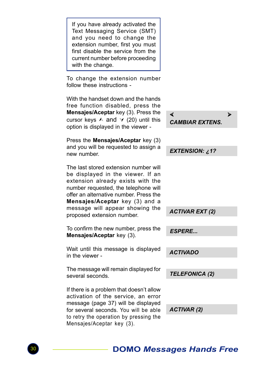If you have already activated the Text Messaging Service (SMT) and you need to change the extension number, first you must first disable the service from the current number before proceeding with the change. To change the extension number follow these instructions - With the handset down and the hands free function disabled, press the Mensajes/Aceptar key (3). Press the cursor keys  $\land$  and  $\lor$  (20) until this option is displayed in the viewer - Press the Mensajes/Aceptar key (3) and you will be requested to assign a new number. The last stored extension number will be displayed in the viewer. If an extension already exists with the number requested, the telephone will offer an alternative number. Press the Mensajes/Aceptar key (3) and a message will appear showing the proposed extension number. To confirm the new number, press the Mensajes/Aceptar key (3). Wait until this message is displayed in the viewer - The message will remain displayed for several seconds. If there is a problem that doesn't allow activation of the service, an error message (page 37) will be displayed for several seconds. You will be able to retry the operation by pressing the EXTENSION: ¿1? ACTIVAR EXT (2) ESPERE... TELEFONICA (2) ACTIVAR (2) ACTIVADO × Ø CAMBIAR EXTENS.

Mensajes/Aceptar key (3).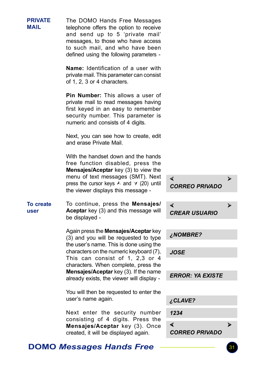The DOMO Hands Free Messages telephone offers the option to receive and send up to 5 'private mail' messages, to those who have access to such mail, and who have been defined using the following parameters - Name: Identification of a user with private mail. This parameter can consist of 1, 2, 3 or 4 characters. Pin Number: This allows a user of private mail to read messages having first keyed in an easy to remember security number. This parameter is numeric and consists of 4 digits. Next, you can see how to create, edit and erase Private Mail. With the handset down and the hands free function disabled, press the Mensajes/Aceptar key (3) to view the menu of text messages (SMT). Next press the cursor keys  $\land$  and  $\lor$  (20) until the viewer displays this message - To continue, press the Mensajes/ Aceptar key (3) and this message will be displayed - Again press the Mensajes/Aceptar key (3) and you will be requested to type the user's name. This is done using the characters on the numeric keyboard (7), This can consist of 1, 2,3 or 4 characters. When complete, press the Mensajes/Aceptar key (3). If the name already exists, the viewer will display - You will then be requested to enter the user's name again. Next enter the security number consisting of 4 digits. Press the Mensajes/Aceptar key (3). Once created, it will be displayed again. To create user **PRIVATE** MAIL × Ø CORREO PRIVADO × Ø CREAR USUARIO × Ø CORREO PRIVADO ¿NOMBRE? JOSE ERROR: YA EXISTE ¿CLAVE? 1234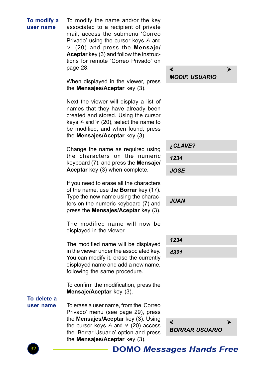#### To modify a user name

To modify the name and/or the key associated to a recipient of private mail, access the submenu 'Correo Privado' using the cursor keys  $\land$  and  $V$  (20) and press the **Mensaje/** Aceptar key (3) and follow the instructions for remote 'Correo Privado' on page 28.

When displayed in the viewer, press the **Mensajes/Aceptar** key (3).

Next the viewer will display a list of names that they have already been created and stored. Using the cursor keys  $\land$  and  $\lor$  (20), select the name to be modified, and when found, press the Mensajes/Aceptar key (3).

Change the name as required using the characters on the numeric keyboard (7), and press the Mensaje/ Aceptar key (3) when complete.

If you need to erase all the characters of the name, use the Borrar key (17). Type the new name using the characters on the numeric keyboard (7) and press the Mensajes/Aceptar key (3).

The modified name will now be displayed in the viewer.

The modified name will be displayed in the viewer under the associated key. You can modify it, erase the currently displayed name and add a new name, following the same procedure.

To confirm the modification, press the Mensaje/Aceptar key (3).

To delete a user name

To erase a user name, from the 'Correo Privado' menu (see page 29), press the Mensajes/Aceptar key (3). Using the cursor keys  $\land$  and  $\lor$  (20) access the 'Borrar Usuario' option and press the **Mensaies/Aceptar** key (3).

#### × Ø MODIF. USUARIO

 ¿CLAVE? 1234 JOSE

JUAN

 1234 4321

![](_page_31_Picture_16.jpeg)

![](_page_31_Picture_17.jpeg)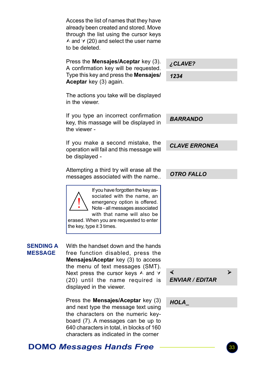Access the list of names that they have already been created and stored. Move through the list using the cursor keys  $\land$  and  $\lor$  (20) and select the user name to be deleted.

Press the Mensajes/Aceptar key (3). A confirmation key will be requested. Type this key and press the Mensajes/ Aceptar key (3) again.

¿CLAVE?

**BARRANDO** 

CLAVE ERRONEA

OTRO FALLO

1234

The actions you take will be displayed in the viewer.

If you type an incorrect confirmation key, this massage will be displayed in the viewer -

If you make a second mistake, the operation will fail and this message will be displayed -

Attempting a third try will erase all the messages associated with the name..

If you have forgotten the key associated with the name, an emergency option is offered. Note - all messages associated with that name will also be erased. When you are requested to enter the key, type it 3 times. !

#### SENDING A MESSAGE

With the handset down and the hands free function disabled, press the Mensajes/Aceptar key (3) to access the menu of text messages (SMT). Next press the cursor keys  $\land$  and  $\lor$ (20) until the name required is displayed in the viewer.

Press the Mensajes/Aceptar key (3) and next type the message text using the characters on the numeric keyboard (7). A messages can be up to 640 characters in total, in blocks of 160 characters as indicated in the corner

 × Ø ENVIAR / EDITAR

HOLA\_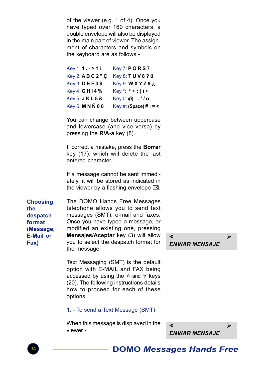of the viewer (e.g. 1 of 4). Once you have typed over 160 characters, a double envelope will also be displayed in the main part of viewer. The assignment of characters and symbols on the keyboard are as follows -

| Key 1:1. - > 1i      | <b>Key 7: P Q R S 7</b> |
|----------------------|-------------------------|
| Key 2: A B C 2 " C   | Key 8: TUV8? ü          |
| Key 3: <b>DEF3\$</b> | Key 9: W X Y Z 9 ¿      |
| Key 4: <b>GH14%</b>  | $Key^*$ : * + ; ) ( •   |
| Key 5: JKL5&         | $Key 0: \omega, 'lo$    |
| Key 6: M N Ñ 0 6     | Key #: (Space) # : = <  |

You can change between uppercase and lowercase (and vice versa) by pressing the R/A-a key (8).

If correct a mistake, press the **Borrar** key (17), which will delete the last entered character.

If a message cannot be sent immediately, it will be stored as indicated in the viewer by a flashing envelope  $\boxtimes$ .

Choosing the despatch format (Message, E-Mail or Fax)

The DOMO Hands Free Messages telephone allows you to send text messages (SMT), e-mail and faxes. Once you have typed a message, or modified an existing one, pressing Mensajes/Aceptar key (3) will allow you to select the despatch format for the message.

Text Messaging (SMT) is the default option with E-MAIL and FAX being accessed by using the  $\land$  and  $\lor$  keys (20). The following instructions details how to proceed for each of these options.

#### 1. - To send a Text Message (SMT)

When this message is displayed in the viewer -

 × Ø ENVIAR MENSAJE

![](_page_33_Picture_11.jpeg)

![](_page_33_Picture_12.jpeg)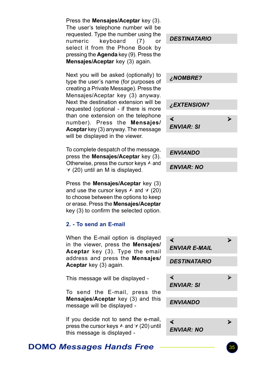| Press the Mensajes/Aceptar key (3).<br>The user's telephone number will be<br>requested. Type the number using the<br>keyboard<br>numeric<br>(7)<br>or<br>select it from the Phone Book by<br>pressing the Agenda key (9). Press the<br>Mensajes/Aceptar key (3) again.<br>Next you will be asked (optionally) to<br>type the user's name (for purposes of<br>creating a Private Message). Press the<br>Mensajes/Aceptar key (3) anyway.<br>Next the destination extension will be<br>requested (optional - if there is more<br>than one extension on the telephone<br>number). Press the Mensajes/<br>Aceptar key (3) anyway. The message<br>will be displayed in the viewer. | <b>DESTINATARIO</b><br><b>NOMBRE?</b><br>¿EXTENSION?<br>∢<br>⋗<br><b>ENVIAR: SI</b> |
|--------------------------------------------------------------------------------------------------------------------------------------------------------------------------------------------------------------------------------------------------------------------------------------------------------------------------------------------------------------------------------------------------------------------------------------------------------------------------------------------------------------------------------------------------------------------------------------------------------------------------------------------------------------------------------|-------------------------------------------------------------------------------------|
| To complete despatch of the message,<br>press the Mensajes/Aceptar key (3).<br>Otherwise, press the cursor keys A and<br>∀ (20) until an M is displayed.                                                                                                                                                                                                                                                                                                                                                                                                                                                                                                                       | <b>ENVIANDO</b><br><b>ENVIAR: NO</b>                                                |
| Press the Mensajes/Aceptar key (3)<br>and use the cursor keys $\land$ and $\lor$ (20)<br>to choose between the options to keep<br>or erase. Press the Mensajes/Aceptar<br>key (3) to confirm the selected option.                                                                                                                                                                                                                                                                                                                                                                                                                                                              |                                                                                     |
| 2. - To send an E-mail                                                                                                                                                                                                                                                                                                                                                                                                                                                                                                                                                                                                                                                         |                                                                                     |
| When the E-mail option is displayed<br>in the viewer, press the Mensajes/<br>Aceptar key (3). Type the email                                                                                                                                                                                                                                                                                                                                                                                                                                                                                                                                                                   | ∢<br>⋗<br><b>ENVIAR E-MAIL</b>                                                      |
| address and press the Mensajes/<br>Aceptar key (3) again.                                                                                                                                                                                                                                                                                                                                                                                                                                                                                                                                                                                                                      | <b>DESTINATARIO</b>                                                                 |
| This message will be displayed -                                                                                                                                                                                                                                                                                                                                                                                                                                                                                                                                                                                                                                               | ∢<br>⋗<br><b>ENVIAR: SI</b>                                                         |
| To send the E-mail, press the<br>Mensajes/Aceptar key (3) and this<br>message will be displayed -                                                                                                                                                                                                                                                                                                                                                                                                                                                                                                                                                                              | <b>ENVIANDO</b>                                                                     |
| If you decide not to send the e-mail,<br>press the cursor keys A and ∀ (20) until<br>this message is displayed -                                                                                                                                                                                                                                                                                                                                                                                                                                                                                                                                                               | ∢<br>⋗<br><b>ENVIAR: NO</b>                                                         |

DOMO Messages Hands Free **COMO** Messages Hands Free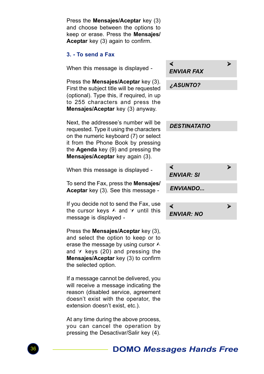Press the Mensajes/Aceptar key (3) and choose between the options to keep or erase. Press the Mensajes/ Aceptar key (3) again to confirm.

### 3. - To send a Fax

When this message is displayed -

Press the Mensajes/Aceptar key (3). First the subject title will be requested (optional). Type this, if required, in up to 255 characters and press the Mensajes/Aceptar key (3) anyway.

Next, the addressee's number will be requested. Type it using the characters on the numeric keyboard (7) or select it from the Phone Book by pressing the **Agenda** key (9) and pressing the Mensajes/Aceptar key again (3).

When this message is displayed -

To send the Fax, press the Mensajes/ Aceptar key (3). See this message -

If you decide not to send the Fax, use the cursor keys  $\land$  and  $\lor$  until this message is displayed -

Press the Mensajes/Aceptar key (3), and select the option to keep or to erase the message by using cursor  $\land$ and  $\forall$  keys (20) and pressing the Mensajes/Aceptar key (3) to confirm the selected option.

If a message cannot be delivered, you will receive a message indicating the reason (disabled service, agreement doesn't exist with the operator, the extension doesn't exist, etc.).

At any time during the above process, you can cancel the operation by pressing the Desactivar/Salir key (4).

| ∢<br><b>ENVIAR FAX</b> | ⋗ |
|------------------------|---|
| ¿ASUNTO?               |   |
|                        |   |
| <b>DESTINATATIO</b>    |   |
|                        |   |
| ◀<br><b>ENVIAR: SI</b> | ⋗ |
| <b>ENVIANDO</b>        |   |
|                        |   |
| ◀<br>ENVIAR: NO        | ⋗ |

![](_page_35_Picture_13.jpeg)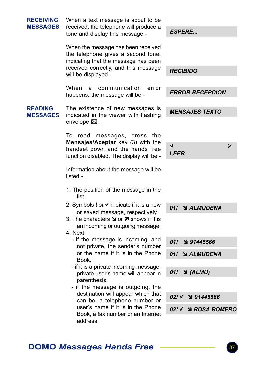| <b>RECEIVING</b><br><b>MESSAGES</b> | When a text message is about to be<br>received, the telephone will produce a<br>tone and display this message -                 | <b>ESPERE</b>                 |
|-------------------------------------|---------------------------------------------------------------------------------------------------------------------------------|-------------------------------|
|                                     | When the message has been received<br>the telephone gives a second tone,<br>indicating that the message has been                |                               |
|                                     | received correctly, and this message<br>will be displayed -                                                                     | <b>RECIBIDO</b>               |
|                                     | When<br>communication<br>a<br>error<br>happens, the message will be -                                                           | <b>ERROR RECEPCION</b>        |
| <b>READING</b><br><b>MESSAGES</b>   | The existence of new messages is<br>indicated in the viewer with flashing<br>envelope ⊠.                                        | <b>MENSAJES TEXTO</b>         |
|                                     | messages, press<br>To<br>read<br>the                                                                                            |                               |
|                                     | Mensajes/Aceptar key (3) with the<br>handset down and the hands free<br>function disabled. The display will be -                | ∢<br>⋗<br><b>LEER</b>         |
|                                     | Information about the message will be<br>listed -                                                                               |                               |
|                                     | 1. The position of the message in the<br>list.                                                                                  |                               |
|                                     | 2. Symbols ! or ✔ indicate if it is a new<br>or saved message, respectively.                                                    | 01!<br><b>N</b> ALMUDENA      |
|                                     | 3. The characters $\blacktriangleright$ or $\blacktriangleright$ shows if it is<br>an incoming or outgoing message.<br>4. Next. |                               |
|                                     | - if the message is incoming, and<br>not private, the sender's number                                                           | 01!<br>91445566               |
|                                     | or the name if it is in the Phone<br>Book.                                                                                      | 01! ALMUDENA                  |
|                                     | - if it is a private incoming message,<br>private user's name will appear in<br>parenthesis.                                    | $\triangleleft$ (ALMU)<br>01! |
|                                     | - if the message is outgoing, the<br>destination will appear which that<br>can be, a telephone number or                        |                               |
|                                     |                                                                                                                                 | $02! \times 91445566$         |
|                                     | user's name if it is in the Phone<br>Book, a fax number or an Internet<br>address.                                              | 02! V → ROSA ROMERO           |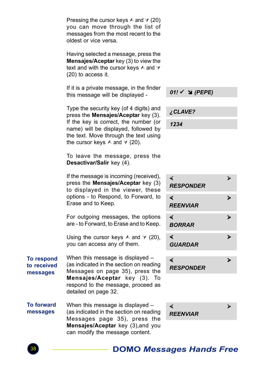| Pressing the cursor keys $\land$ and $\lor$ (20) |  |  |  |  |
|--------------------------------------------------|--|--|--|--|
| you can move through the list of                 |  |  |  |  |
| messages from the most recent to the             |  |  |  |  |
| oldest or vice versa.                            |  |  |  |  |

Having selected a message, press the Mensajes/Aceptar key (3) to view the text and with the cursor keys  $\land$  and  $\lor$ (20) to access it.

If it is a private message, in the finder this message will be displayed -

Type the security key (of 4 digits) and press the Mensajes/Aceptar key (3). If the key is correct, the number (or name) will be displayed, followed by the text. Move through the text using the cursor keys  $\land$  and  $\lor$  (20).

To leave the message, press the Desactivar/Salir key (4).

If the message is incoming (received), press the Mensajes/Aceptar key (3) to displayed in the viewer, these options - to Respond, to Forward, to Erase and to Keep.

For outgoing messages, the options are - to Forward, to Erase and to Keep.

Using the cursor keys  $\land$  and  $\lor$  (20), you can access any of them.

When this message is displayed – (as indicated in the section on reading Messages on page 35), press the Mensajes/Aceptar key (3). To respond to the message, proceed as detailed on page 32. To respond to received messages

When this message is displayed – (as indicated in the section on reading Messages page 35), press the Mensajes/Aceptar key (3), and you can modify the message content. To forward messages

 $01!$   $\checkmark$   $\cong$  (PEPE)

¿CLAVE?

1234

![](_page_37_Picture_13.jpeg)

![](_page_37_Picture_14.jpeg)

![](_page_37_Picture_16.jpeg)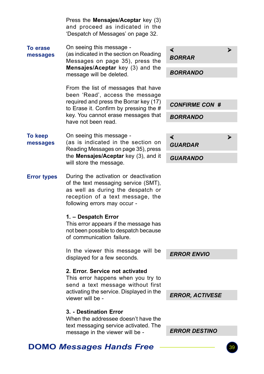|                                 | Press the Mensajes/Aceptar key (3)<br>and proceed as indicated in the<br>'Despatch of Messages' on page 32.                                                                            |                          |
|---------------------------------|----------------------------------------------------------------------------------------------------------------------------------------------------------------------------------------|--------------------------|
| <b>To erase</b><br>messages     | On seeing this message -<br>(as indicated in the section on Reading<br>Messages on page 35), press the                                                                                 | ∢<br>⋗<br><b>BORRAR</b>  |
|                                 | Mensajes/Aceptar key (3) and the<br>message will be deleted.                                                                                                                           | <i><b>BORRANDO</b></i>   |
|                                 | From the list of messages that have<br>been 'Read', access the message                                                                                                                 |                          |
|                                 | required and press the Borrar key (17)<br>to Erase it. Confirm by pressing the #                                                                                                       | <b>CONFIRME CON #</b>    |
|                                 | key. You cannot erase messages that<br>have not been read.                                                                                                                             | <b>BORRANDO</b>          |
| <b>To keep</b><br>messages      | On seeing this message -<br>(as is indicated in the section on<br>Reading Messages on page 35), press<br>the Mensajes/Aceptar key (3), and it<br>will store the message.               | ∢<br>⋗<br><b>GUARDAR</b> |
|                                 |                                                                                                                                                                                        | <b>GUARANDO</b>          |
| <b>Error types</b>              | During the activation or deactivation<br>of the text messaging service (SMT),<br>as well as during the despatch or<br>reception of a text message, the<br>following errors may occur - |                          |
|                                 | 1. - Despatch Error<br>This error appears if the message has<br>not been possible to despatch because<br>of communication failure.                                                     |                          |
|                                 | In the viewer this message will be<br>displayed for a few seconds.                                                                                                                     | <b>ERROR ENVIO</b>       |
|                                 | 2. Error. Service not activated<br>This error happens when you try to<br>send a text message without first<br>activating the service. Displayed in the<br>viewer will be -             |                          |
|                                 |                                                                                                                                                                                        | <b>ERROR, ACTIVESE</b>   |
|                                 | 3. - Destination Error<br>When the addressee doesn't have the<br>text messaging service activated. The                                                                                 |                          |
|                                 | message in the viewer will be -                                                                                                                                                        | <b>ERROR DESTINO</b>     |
| <b>DOMO Messages Hands Free</b> |                                                                                                                                                                                        |                          |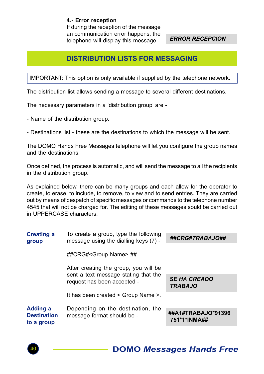4.- Error reception If during the reception of the message an communication error happens, the telephone will display this message -

ERROR RECEPCION

## DISTRIBUTION LISTS FOR MESSAGING

IMPORTANT: This option is only available if supplied by the telephone network.

The distribution list allows sending a message to several different destinations.

The necessary parameters in a 'distribution group' are -

- Name of the distribution group.

- Destinations list - these are the destinations to which the message will be sent.

The DOMO Hands Free Messages telephone will let you configure the group names and the destinations.

Once defined, the process is automatic, and will send the message to all the recipients in the distribution group.

As explained below, there can be many groups and each allow for the operator to create, to erase, to include, to remove, to view and to send entries. They are carried out by means of despatch of specific messages or commands to the telephone number 4545 that will not be charged for. The editing of these messages sould be carried out in UPPERCASE characters.

| <b>Creating a</b><br>group                   | To create a group, type the following<br>message using the dialling keys (7) - | ##CRG#TRABAJO##                       |
|----------------------------------------------|--------------------------------------------------------------------------------|---------------------------------------|
|                                              | ##CRG# <group name=""> ##</group>                                              |                                       |
|                                              | After creating the group, you will be                                          |                                       |
|                                              | sent a text message stating that the<br>request has been accepted -            | <b>SE HA CREADO</b><br><b>TRABAJO</b> |
|                                              | It has been created < Group Name >.                                            |                                       |
| Adding a<br><b>Destination</b><br>to a group | Depending on the destination, the<br>message format should be -                | ##A1#TRABAJO*91396<br>751*1*INMA##    |

![](_page_39_Picture_13.jpeg)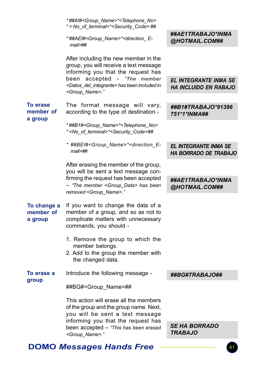|                                         | *##AI# <group_name>*<telephone_no><br/>*<no_of_terminal>*<security_code>##</security_code></no_of_terminal></telephone_no></group_name>     |                                                       |
|-----------------------------------------|---------------------------------------------------------------------------------------------------------------------------------------------|-------------------------------------------------------|
|                                         | *##AEI# <group name="">*<direction e-<br=""><math>mail</math><sup>##</sup></direction></group>                                              | ##AE1TRABAJO*INMA<br>@HOTMAIL.COM##                   |
|                                         | After including the new member in the<br>group, you will receive a text message<br>informing you that the request has                       |                                                       |
|                                         | accepted<br>- "The member<br>been<br><datos del="" integrante=""> has been included in<br/><group_name>."</group_name></datos>              | <b>EL INTEGRANTE INMA SE</b><br>HA INCLUIDO EN RABAJO |
| <b>To erase</b><br>member of<br>a group | The format message will vary,<br>according to the type of destination -                                                                     | ##B1#TRABAJO*91396<br>751*1*INMA##                    |
|                                         | *##B1# <group name="">*<telephone no=""><br/>*<no_of_terminal>*<security_code>##</security_code></no_of_terminal></telephone></group>       |                                                       |
|                                         | * ##BEI# <group name="">*<direction e-<br=""><math>mail&gt;</math>##</direction></group>                                                    | EL INTEGRANTE INMA SE<br><b>HA BORRADO DE TRABAJO</b> |
|                                         | After erasing the member of the group,<br>you will be sent a text message con-<br>firming the request has been accepted                     | ##AE1TRABAJO*INMA                                     |
|                                         | - "The member <group_data> has been<br/>removed <group name="">."</group></group_data>                                                      | @HOTMAIL.COM##                                        |
| To change a<br>member of<br>a group     | If you want to change the data of a<br>member of a group, and so as not to<br>complicate matters with unnecessary<br>commands, you should - |                                                       |
|                                         | 1. Remove the group to which the<br>member belongs.<br>2. Add to the group the member with<br>the changed data.                             |                                                       |
| To erase a                              | Introduce the following message -                                                                                                           | ##BG#TRABAJO##                                        |
| group                                   | ##BG# <group name="">##</group>                                                                                                             |                                                       |
|                                         | This action will erase all the members<br>of the group and the group name. Next,<br>you will be sent a text message                         |                                                       |
|                                         | informing you that the request has<br>been accepted - "This has been erased<br><group name="">."</group>                                    | <i><b>SE HA BORRADO</b></i><br><b>TRABAJO</b>         |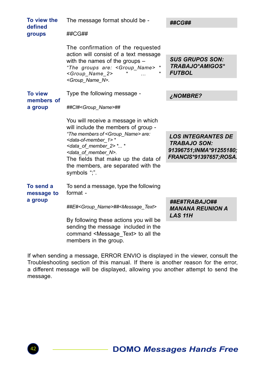| To view the<br>defined             | The message format should be -                                                                                                                                                                                      | ##CG##                                                                                                |
|------------------------------------|---------------------------------------------------------------------------------------------------------------------------------------------------------------------------------------------------------------------|-------------------------------------------------------------------------------------------------------|
| groups                             | ##CG##                                                                                                                                                                                                              |                                                                                                       |
|                                    | The confirmation of the requested<br>action will consist of a text message                                                                                                                                          |                                                                                                       |
|                                    | with the names of the groups $-$<br>"The groups are: <group_name> *<br/><group_name_2></group_name_2></group_name>                                                                                                  | <b>SUS GRUPOS SON:</b><br><b>TRABAJO*AMIGOS*</b><br><b>FUTBOL</b>                                     |
|                                    | <group n="" name="">.</group>                                                                                                                                                                                       |                                                                                                       |
| <b>To view</b><br>members of       | Type the following message -                                                                                                                                                                                        | <b>¿NOMBRE?</b>                                                                                       |
| a group                            | ##CI# <group_name>##</group_name>                                                                                                                                                                                   |                                                                                                       |
|                                    | You will receive a message in which<br>will include the members of group -                                                                                                                                          |                                                                                                       |
|                                    | "The members of <group name=""> are:<br/><data-of-member 1="">*<br/><data 2="" member="" of=""> * *<br/><data member="" n="" of="">.<br/>The fields that make up the data of</data></data></data-of-member></group> | <b>LOS INTEGRANTES DE</b><br><b>TRABAJO SON:</b><br>91396751;INMA*91255180;<br>FRANCIS*91397657;ROSA. |
|                                    | the members, are separated with the<br>symbols ":".                                                                                                                                                                 |                                                                                                       |
| To send a<br>message to<br>a group | To send a message, type the following<br>format -                                                                                                                                                                   |                                                                                                       |
|                                    | ##E# <group name="">##<message text=""></message></group>                                                                                                                                                           | ##E#TRABAJO##<br><b>MANANA REUNION A</b><br><b>LAS 11H</b>                                            |
|                                    | By following these actions you will be<br>sending the message included in the<br>command <message text=""> to all the</message>                                                                                     |                                                                                                       |

If when sending a message, ERROR ENVIO is displayed in the viewer, consult the Troubleshooting section of this manual. If there is another reason for the error, a different message will be displayed, allowing you another attempt to send the message.

members in the group.

![](_page_41_Picture_3.jpeg)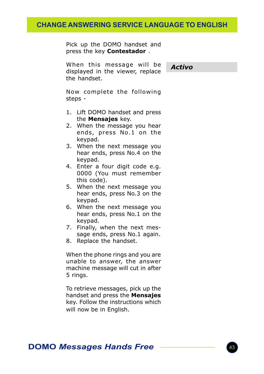## CHANGE ANSWERING SERVICE LANGUAGE TO ENGLISH

Pick up the DOMO handset and press the key **Contestador**.

When this message will be displayed in the viewer, replace the handset.

Activo

Now complete the following steps -

- 1. Lift DOMO handset and press the **Mensajes** key.
- 2. When the message you hear ends, press No.1 on the keypad.
- 3. When the next message you hear ends, press No.4 on the keypad.
- 4. Enter a four digit code e.g. 0000 (You must remember this code).
- 5. When the next message you hear ends, press No.3 on the keypad.
- 6. When the next message you hear ends, press No.1 on the keypad.
- 7. Finally, when the next message ends, press No.1 again.
- 8. Replace the handset.

When the phone rings and you are unable to answer, the answer machine message will cut in after 5 rings.

To retrieve messages, pick up the handset and press the Mensajes key. Follow the instructions which will now be in English.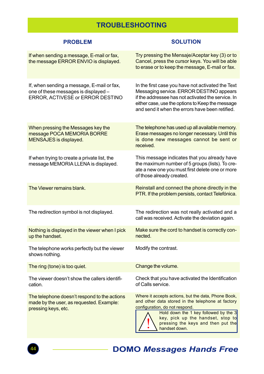## TROUBLESHOOTING

| <b>PROBLEM</b>                                                                                                         | <b>SOLUTION</b>                                                                                                                                                                                                                                                                 |
|------------------------------------------------------------------------------------------------------------------------|---------------------------------------------------------------------------------------------------------------------------------------------------------------------------------------------------------------------------------------------------------------------------------|
| If when sending a message, E-mail or fax,<br>the message ERROR ENVIO is displayed.                                     | Try pressing the Mensaje/Aceptar key (3) or to<br>Cancel, press the cursor keys. You will be able<br>to erase or to keep the message, E-mail or fax.                                                                                                                            |
| If, when sending a message, E-mail or fax,<br>one of these messages is displayed -<br>ERROR, ACTIVESE or ERROR DESTINO | In the first case you have not activated the Text<br>Messaging service. ERROR DESTINO appears<br>if the addressee has not activated the service. In<br>either case, use the options to Keep the message<br>and send it when the errors have been retified.                      |
| When pressing the Messages key the<br>message POCA MEMORIA BORRE<br>MENSAJES is displayed.                             | The telephone has used up all available memory.<br>Erase messages no longer necessary. Until this<br>is done new messages cannot be sent or<br>received.                                                                                                                        |
| If when trying to create a private list, the<br>message MEMORIA LLENA is displayed.                                    | This message indicates that you already have<br>the maximum number of 5 groups (lists). To cre-<br>ate a new one you must first delete one or more<br>of those already created.                                                                                                 |
| The Viewer remains blank.                                                                                              | Reinstall and connect the phone directly in the<br>PTR. If the problem persists, contact Telefónica.                                                                                                                                                                            |
| The redirection symbol is not displayed.                                                                               | The redirection was not really activated and a<br>call was received. Activate the deviation again.                                                                                                                                                                              |
| Nothing is displayed in the viewer when I pick<br>up the handset.                                                      | Make sure the cord to handset is correctly con-<br>nected.                                                                                                                                                                                                                      |
| The telephone works perfectly but the viewer<br>shows nothing.                                                         | Modify the contrast.                                                                                                                                                                                                                                                            |
| The ring (tone) is too quiet.                                                                                          | Change the volume.                                                                                                                                                                                                                                                              |
| The viewer doesn't show the callers identifi-<br>cation.                                                               | Check that you have activated the Identification<br>of Calls service.                                                                                                                                                                                                           |
| The telephone doesn't respond to the actions<br>made by the user, as requested. Example:<br>pressing keys, etc.        | Where it accepts actions, but the data, Phone Book,<br>and other data stored in the telephone at factory<br>configuration, do not respond.<br>Hold down the 1 key followed by the 3<br>key, pick up the handset, stop to<br>pressing the keys and then put the<br>handset down. |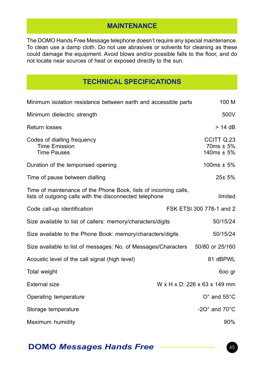## **MAINTENANCE**

The DOMO Hands Free Message telephone doesn't require any special maintenance. To clean use a damp cloth. Do not use abrasives or solvents for cleaning as these could damage the equipment. Avoid blows and/or possible falls to the floor, and do not locate near sources of heat or exposed directly to the sun.

## TECHNICAL SPECIFICATIONS

| Minimum isolation resistance between earth and accessible parts                                                            | 100 M                                          |
|----------------------------------------------------------------------------------------------------------------------------|------------------------------------------------|
| Minimum dielectric strength                                                                                                | 500V                                           |
| Return losses                                                                                                              | $> 14$ dB                                      |
| Codes of dialling frequency<br><b>Time Emission</b><br><b>Time Pauses</b>                                                  | CCITT Q.23<br>$70ms \pm 5\%$<br>$140ms \pm 5%$ |
| Duration of the temporised opening                                                                                         | 100ms $\pm$ 5%                                 |
| Time of pause between dialling                                                                                             | $25 \pm 5%$                                    |
| Time of maintenance of the Phone Book, lists of incoming calls,<br>lists of outgoing calls with the disconnected telephone | limited                                        |
| Code call-up identification                                                                                                | FSK ETSI 300 778-1 and 2                       |
| Size available to list of callers: memory/characters/digits                                                                | 50/15/24                                       |
| Size available to the Phone Book: memory/characters/digits                                                                 | 50/15/24                                       |
| Size available to list of messages: No. of Messages/Characters                                                             | 50/80 or 25/160                                |
| Acoustic level of the call signal (high level)                                                                             | 81 dBPWL                                       |
| Total weight                                                                                                               | 600 gr                                         |
| External size                                                                                                              | W x H x D: 226 x 63 x 149 mm                   |
| Operating temperature                                                                                                      | $O^{\circ}$ and $55^{\circ}$ C                 |
| Storage temperature                                                                                                        | -20 $^{\circ}$ and 70 $^{\circ}$ C             |
| Maximum humidity                                                                                                           | 90%                                            |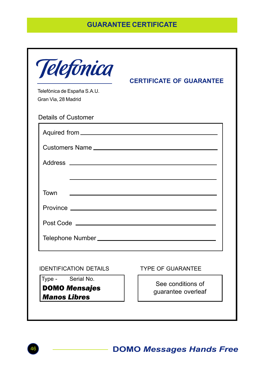## GUARANTEE CERTIFICATE

| Telefónica de España S.A.U.<br>Gran Via, 28 Madrid               | <b>CERTIFICATE OF GUARANTEE</b>                                                                                       |  |
|------------------------------------------------------------------|-----------------------------------------------------------------------------------------------------------------------|--|
| Details of Customer                                              |                                                                                                                       |  |
|                                                                  |                                                                                                                       |  |
|                                                                  |                                                                                                                       |  |
|                                                                  |                                                                                                                       |  |
|                                                                  |                                                                                                                       |  |
| Town                                                             | <u> 1989 - Johann Harry Harry Harry Harry Harry Harry Harry Harry Harry Harry Harry Harry Harry Harry Harry Harry</u> |  |
|                                                                  |                                                                                                                       |  |
|                                                                  |                                                                                                                       |  |
|                                                                  |                                                                                                                       |  |
|                                                                  |                                                                                                                       |  |
| <b>IDENTIFICATION DETAILS</b>                                    | <b>TYPE OF GUARANTEE</b>                                                                                              |  |
| Type - Serial No.<br><b>DOMO Mensajes</b><br><b>Manos Libres</b> | See conditions of<br>guarantee overleaf                                                                               |  |

![](_page_45_Picture_3.jpeg)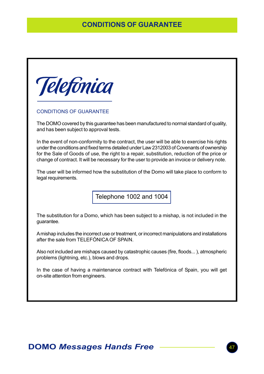## CONDITIONS OF GUARANTEE

![](_page_46_Picture_1.jpeg)

#### CONDITIONS OF GUARANTEE

The DOMO covered by this guarantee has been manufactured to normal standard of quality, and has been subject to approval tests.

In the event of non-conformity to the contract, the user will be able to exercise his rights under the conditions and fixed terms detailed under Law 2312003 of Covenants of ownership for the Sale of Goods of use, the right to a repair, substitution, reduction of the price or change of contract. It will be necessary for the user to provide an invoice or delivery note.

The user will be informed how the substitution of the Domo will take place to conform to legal requirements.

Telephone 1002 and 1004

The substitution for a Domo, which has been subject to a mishap, is not included in the guarantee.

A mishap includes the incorrect use or treatment, or incorrect manipulations and installations after the sale from TELEFÓNICA OF SPAIN.

Also not included are mishaps caused by catastrophic causes (fire, floods... ), atmospheric problems (lightning, etc.), blows and drops.

In the case of having a maintenance contract with Telefónica of Spain, you will get on-site attention from engineers.